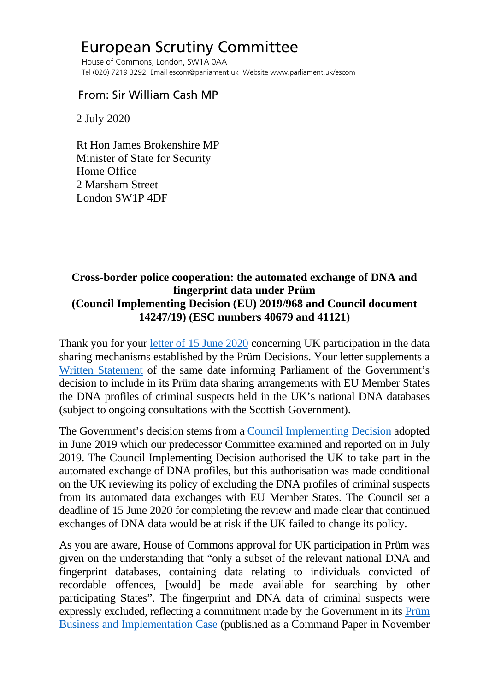# European Scrutiny Committee

 House of Commons, London, SW1A 0AA Tel (020) 7219 3292 Email escom@parliament.uk Website www.parliament.uk/escom

## From: Sir William Cash MP

2 July 2020

 Rt Hon James Brokenshire MP Minister of State for Security Home Office 2 Marsham Street London SW1P 4DF

## **Cross-border police cooperation: the automated exchange of DNA and fingerprint data under Prüm (Council Implementing Decision (EU) 2019/968 and Council document 14247/19) (ESC numbers 40679 and 41121)**

Thank you for your [letter of 15 June 2020](http://europeanmemoranda.cabinetoffice.gov.uk/files/2020/06/Letter_to_Sir_William_Cash_MP.__1.pdf) concerning UK participation in the data sharing mechanisms established by the Prüm Decisions. Your letter supplements a [Written Statement](https://www.parliament.uk/business/publications/written-questions-answers-statements/written-statement/Commons/2020-06-15/HCWS290/) of the same date informing Parliament of the Government's decision to include in its Prüm data sharing arrangements with EU Member States the DNA profiles of criminal suspects held in the UK's national DNA databases (subject to ongoing consultations with the Scottish Government).

The Government's decision stems from a [Council Implementing Decision](https://eur-lex.europa.eu/legal-content/EN/TXT/PDF/?uri=CELEX:32019D0968&from=EN) adopted in June 2019 which our predecessor Committee examined and reported on in July 2019. The Council Implementing Decision authorised the UK to take part in the automated exchange of DNA profiles, but this authorisation was made conditional on the UK reviewing its policy of excluding the DNA profiles of criminal suspects from its automated data exchanges with EU Member States. The Council set a deadline of 15 June 2020 for completing the review and made clear that continued exchanges of DNA data would be at risk if the UK failed to change its policy.

As you are aware, House of Commons approval for UK participation in Prüm was given on the understanding that "only a subset of the relevant national DNA and fingerprint databases, containing data relating to individuals convicted of recordable offences, [would] be made available for searching by other participating States". The fingerprint and DNA data of criminal suspects were expressly excluded, reflecting a commitment made by the Government in its [Prüm](https://assets.publishing.service.gov.uk/government/uploads/system/uploads/attachment_data/file/480129/prum_business_and_implementation_case.pdf)  [Business and Implementation Case](https://assets.publishing.service.gov.uk/government/uploads/system/uploads/attachment_data/file/480129/prum_business_and_implementation_case.pdf) (published as a Command Paper in November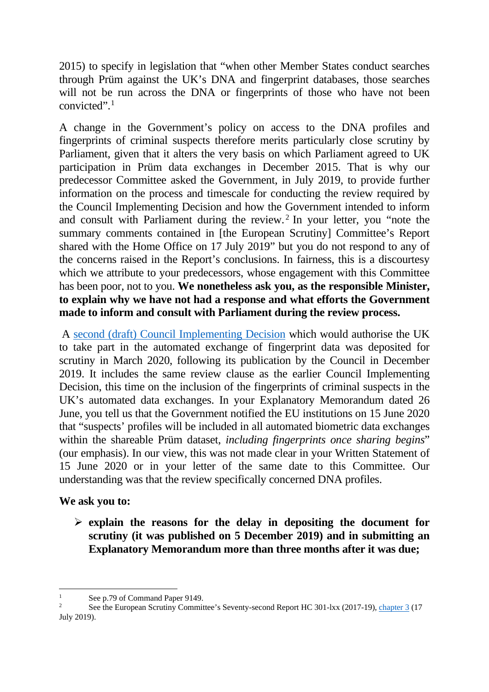2015) to specify in legislation that "when other Member States conduct searches through Prüm against the UK's DNA and fingerprint databases, those searches will not be run across the DNA or fingerprints of those who have not been convicted".[1](#page-1-0)

A change in the Government's policy on access to the DNA profiles and fingerprints of criminal suspects therefore merits particularly close scrutiny by Parliament, given that it alters the very basis on which Parliament agreed to UK participation in Prüm data exchanges in December 2015. That is why our predecessor Committee asked the Government, in July 2019, to provide further information on the process and timescale for conducting the review required by the Council Implementing Decision and how the Government intended to inform and consult with Parliament during the review. [2](#page-1-1) In your letter, you "note the summary comments contained in [the European Scrutiny] Committee's Report shared with the Home Office on 17 July 2019" but you do not respond to any of the concerns raised in the Report's conclusions. In fairness, this is a discourtesy which we attribute to your predecessors, whose engagement with this Committee has been poor, not to you. **We nonetheless ask you, as the responsible Minister, to explain why we have not had a response and what efforts the Government made to inform and consult with Parliament during the review process.**

A [second \(draft\) Council Implementing Decision](http://europeanmemoranda.cabinetoffice.gov.uk/files/2020/03/CONS_CONS201914247_EN.pdf) which would authorise the UK to take part in the automated exchange of fingerprint data was deposited for scrutiny in March 2020, following its publication by the Council in December 2019. It includes the same review clause as the earlier Council Implementing Decision, this time on the inclusion of the fingerprints of criminal suspects in the UK's automated data exchanges. In your Explanatory Memorandum dated 26 June, you tell us that the Government notified the EU institutions on 15 June 2020 that "suspects' profiles will be included in all automated biometric data exchanges within the shareable Prüm dataset, *including fingerprints once sharing begins*" (our emphasis). In our view, this was not made clear in your Written Statement of 15 June 2020 or in your letter of the same date to this Committee. Our understanding was that the review specifically concerned DNA profiles.

#### **We ask you to:**

 **explain the reasons for the delay in depositing the document for scrutiny (it was published on 5 December 2019) and in submitting an Explanatory Memorandum more than three months after it was due;** 

<span id="page-1-1"></span><span id="page-1-0"></span>See p.79 of Command Paper 9149.<br>See the European Scrutiny Committee's Seventy-second Report HC 301-lxx (2017-19)[, chapter 3](https://publications.parliament.uk/pa/cm201719/cmselect/cmeuleg/301-lxx/30106.htm) (17) July 2019).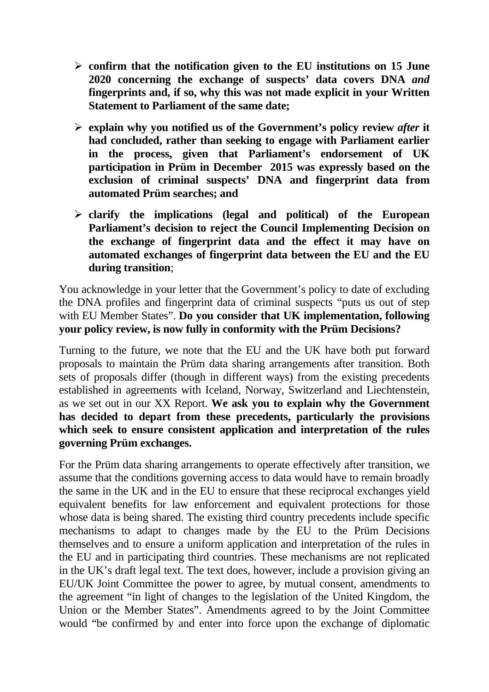- **confirm that the notification given to the EU institutions on 15 June 2020 concerning the exchange of suspects' data covers DNA** *and* **fingerprints and, if so, why this was not made explicit in your Written Statement to Parliament of the same date;**
- **explain why you notified us of the Government's policy review** *after* **it had concluded, rather than seeking to engage with Parliament earlier in the process, given that Parliament's endorsement of UK participation in Prüm in December 2015 was expressly based on the exclusion of criminal suspects' DNA and fingerprint data from automated Prüm searches; and**
- **clarify the implications (legal and political) of the European Parliament's decision to reject the Council Implementing Decision on the exchange of fingerprint data and the effect it may have on automated exchanges of fingerprint data between the EU and the EU during transition**;

You acknowledge in your letter that the Government's policy to date of excluding the DNA profiles and fingerprint data of criminal suspects "puts us out of step with EU Member States". **Do you consider that UK implementation, following your policy review, is now fully in conformity with the Prüm Decisions?**

Turning to the future, we note that the EU and the UK have both put forward proposals to maintain the Prüm data sharing arrangements after transition. Both sets of proposals differ (though in different ways) from the existing precedents established in agreements with Iceland, Norway, Switzerland and Liechtenstein, as we set out in our XX Report. **We ask you to explain why the Government has decided to depart from these precedents, particularly the provisions which seek to ensure consistent application and interpretation of the rules governing Prüm exchanges.** 

For the Prüm data sharing arrangements to operate effectively after transition, we assume that the conditions governing access to data would have to remain broadly the same in the UK and in the EU to ensure that these reciprocal exchanges yield equivalent benefits for law enforcement and equivalent protections for those whose data is being shared. The existing third country precedents include specific mechanisms to adapt to changes made by the EU to the Prüm Decisions themselves and to ensure a uniform application and interpretation of the rules in the EU and in participating third countries. These mechanisms are not replicated in the UK's draft legal text. The text does, however, include a provision giving an EU/UK Joint Committee the power to agree, by mutual consent, amendments to the agreement "in light of changes to the legislation of the United Kingdom, the Union or the Member States". Amendments agreed to by the Joint Committee would "be confirmed by and enter into force upon the exchange of diplomatic